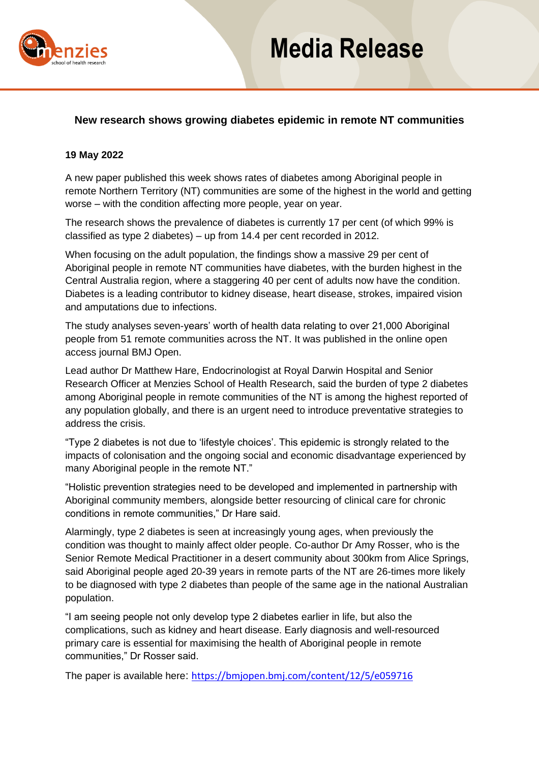

# **Media Release**

### **New research shows growing diabetes epidemic in remote NT communities**

#### **19 May 2022**

A new paper published this week shows rates of diabetes among Aboriginal people in remote Northern Territory (NT) communities are some of the highest in the world and getting worse – with the condition affecting more people, year on year.

The research shows the prevalence of diabetes is currently 17 per cent (of which 99% is classified as type 2 diabetes) – up from 14.4 per cent recorded in 2012.

When focusing on the adult population, the findings show a massive 29 per cent of Aboriginal people in remote NT communities have diabetes, with the burden highest in the Central Australia region, where a staggering 40 per cent of adults now have the condition. Diabetes is a leading contributor to kidney disease, heart disease, strokes, impaired vision and amputations due to infections.

The study analyses seven-years' worth of health data relating to over 21,000 Aboriginal people from 51 remote communities across the NT. It was published in the online open access journal BMJ Open.

Lead author Dr Matthew Hare, Endocrinologist at Royal Darwin Hospital and Senior Research Officer at Menzies School of Health Research, said the burden of type 2 diabetes among Aboriginal people in remote communities of the NT is among the highest reported of any population globally, and there is an urgent need to introduce preventative strategies to address the crisis.

"Type 2 diabetes is not due to 'lifestyle choices'. This epidemic is strongly related to the impacts of colonisation and the ongoing social and economic disadvantage experienced by many Aboriginal people in the remote NT."

"Holistic prevention strategies need to be developed and implemented in partnership with Aboriginal community members, alongside better resourcing of clinical care for chronic conditions in remote communities," Dr Hare said.

Alarmingly, type 2 diabetes is seen at increasingly young ages, when previously the condition was thought to mainly affect older people. Co-author Dr Amy Rosser, who is the Senior Remote Medical Practitioner in a desert community about 300km from Alice Springs, said Aboriginal people aged 20-39 years in remote parts of the NT are 26-times more likely to be diagnosed with type 2 diabetes than people of the same age in the national Australian population.

"I am seeing people not only develop type 2 diabetes earlier in life, but also the complications, such as kidney and heart disease. Early diagnosis and well-resourced primary care is essential for maximising the health of Aboriginal people in remote communities," Dr Rosser said.

The paper is available here: <https://bmjopen.bmj.com/content/12/5/e059716>